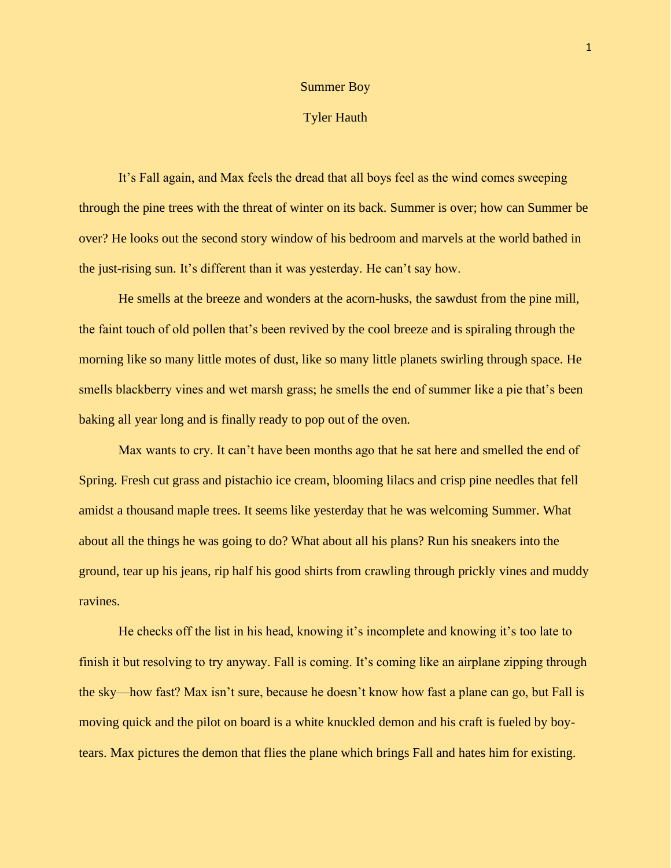## Summer Boy

## Tyler Hauth

It's Fall again, and Max feels the dread that all boys feel as the wind comes sweeping through the pine trees with the threat of winter on its back. Summer is over; how can Summer be over? He looks out the second story window of his bedroom and marvels at the world bathed in the just-rising sun. It's different than it was yesterday. He can't say how.

He smells at the breeze and wonders at the acorn-husks, the sawdust from the pine mill, the faint touch of old pollen that's been revived by the cool breeze and is spiraling through the morning like so many little motes of dust, like so many little planets swirling through space. He smells blackberry vines and wet marsh grass; he smells the end of summer like a pie that's been baking all year long and is finally ready to pop out of the oven.

Max wants to cry. It can't have been months ago that he sat here and smelled the end of Spring. Fresh cut grass and pistachio ice cream, blooming lilacs and crisp pine needles that fell amidst a thousand maple trees. It seems like yesterday that he was welcoming Summer. What about all the things he was going to do? What about all his plans? Run his sneakers into the ground, tear up his jeans, rip half his good shirts from crawling through prickly vines and muddy ravines.

He checks off the list in his head, knowing it's incomplete and knowing it's too late to finish it but resolving to try anyway. Fall is coming. It's coming like an airplane zipping through the sky—how fast? Max isn't sure, because he doesn't know how fast a plane can go, but Fall is moving quick and the pilot on board is a white knuckled demon and his craft is fueled by boytears. Max pictures the demon that flies the plane which brings Fall and hates him for existing.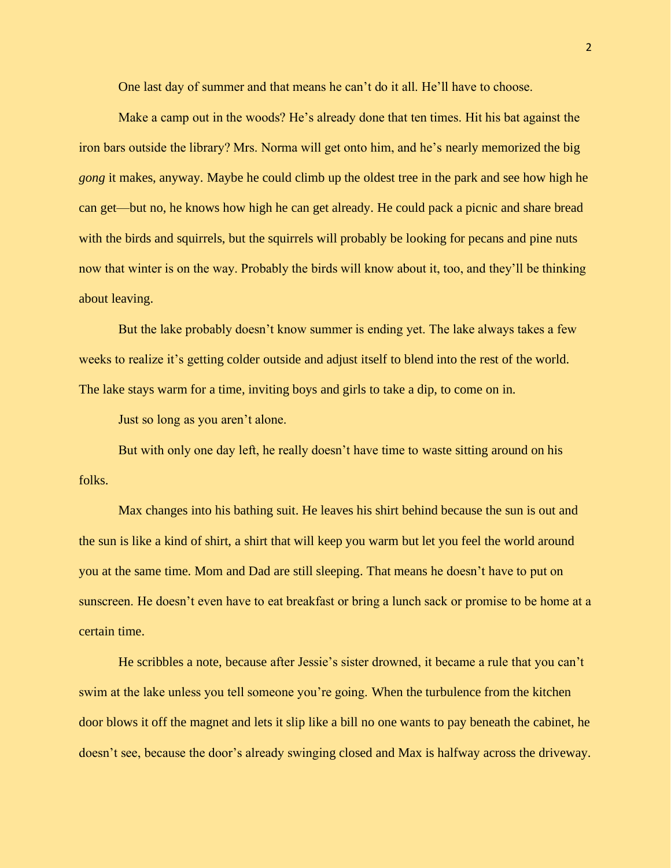One last day of summer and that means he can't do it all. He'll have to choose.

Make a camp out in the woods? He's already done that ten times. Hit his bat against the iron bars outside the library? Mrs. Norma will get onto him, and he's nearly memorized the big *gong* it makes, anyway. Maybe he could climb up the oldest tree in the park and see how high he can get—but no, he knows how high he can get already. He could pack a picnic and share bread with the birds and squirrels, but the squirrels will probably be looking for pecans and pine nuts now that winter is on the way. Probably the birds will know about it, too, and they'll be thinking about leaving.

But the lake probably doesn't know summer is ending yet. The lake always takes a few weeks to realize it's getting colder outside and adjust itself to blend into the rest of the world. The lake stays warm for a time, inviting boys and girls to take a dip, to come on in.

Just so long as you aren't alone.

But with only one day left, he really doesn't have time to waste sitting around on his folks.

Max changes into his bathing suit. He leaves his shirt behind because the sun is out and the sun is like a kind of shirt, a shirt that will keep you warm but let you feel the world around you at the same time. Mom and Dad are still sleeping. That means he doesn't have to put on sunscreen. He doesn't even have to eat breakfast or bring a lunch sack or promise to be home at a certain time.

He scribbles a note, because after Jessie's sister drowned, it became a rule that you can't swim at the lake unless you tell someone you're going. When the turbulence from the kitchen door blows it off the magnet and lets it slip like a bill no one wants to pay beneath the cabinet, he doesn't see, because the door's already swinging closed and Max is halfway across the driveway.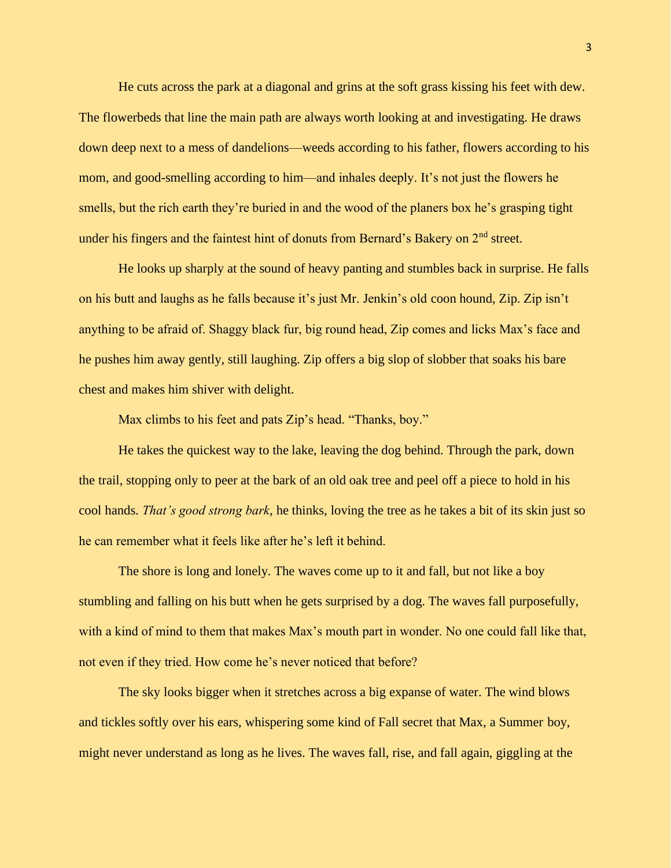He cuts across the park at a diagonal and grins at the soft grass kissing his feet with dew. The flowerbeds that line the main path are always worth looking at and investigating. He draws down deep next to a mess of dandelions—weeds according to his father, flowers according to his mom, and good-smelling according to him—and inhales deeply. It's not just the flowers he smells, but the rich earth they're buried in and the wood of the planers box he's grasping tight under his fingers and the faintest hint of donuts from Bernard's Bakery on 2<sup>nd</sup> street.

He looks up sharply at the sound of heavy panting and stumbles back in surprise. He falls on his butt and laughs as he falls because it's just Mr. Jenkin's old coon hound, Zip. Zip isn't anything to be afraid of. Shaggy black fur, big round head, Zip comes and licks Max's face and he pushes him away gently, still laughing. Zip offers a big slop of slobber that soaks his bare chest and makes him shiver with delight.

Max climbs to his feet and pats Zip's head. "Thanks, boy."

He takes the quickest way to the lake, leaving the dog behind. Through the park, down the trail, stopping only to peer at the bark of an old oak tree and peel off a piece to hold in his cool hands. *That's good strong bark*, he thinks, loving the tree as he takes a bit of its skin just so he can remember what it feels like after he's left it behind.

The shore is long and lonely. The waves come up to it and fall, but not like a boy stumbling and falling on his butt when he gets surprised by a dog. The waves fall purposefully, with a kind of mind to them that makes Max's mouth part in wonder. No one could fall like that, not even if they tried. How come he's never noticed that before?

The sky looks bigger when it stretches across a big expanse of water. The wind blows and tickles softly over his ears, whispering some kind of Fall secret that Max, a Summer boy, might never understand as long as he lives. The waves fall, rise, and fall again, giggling at the